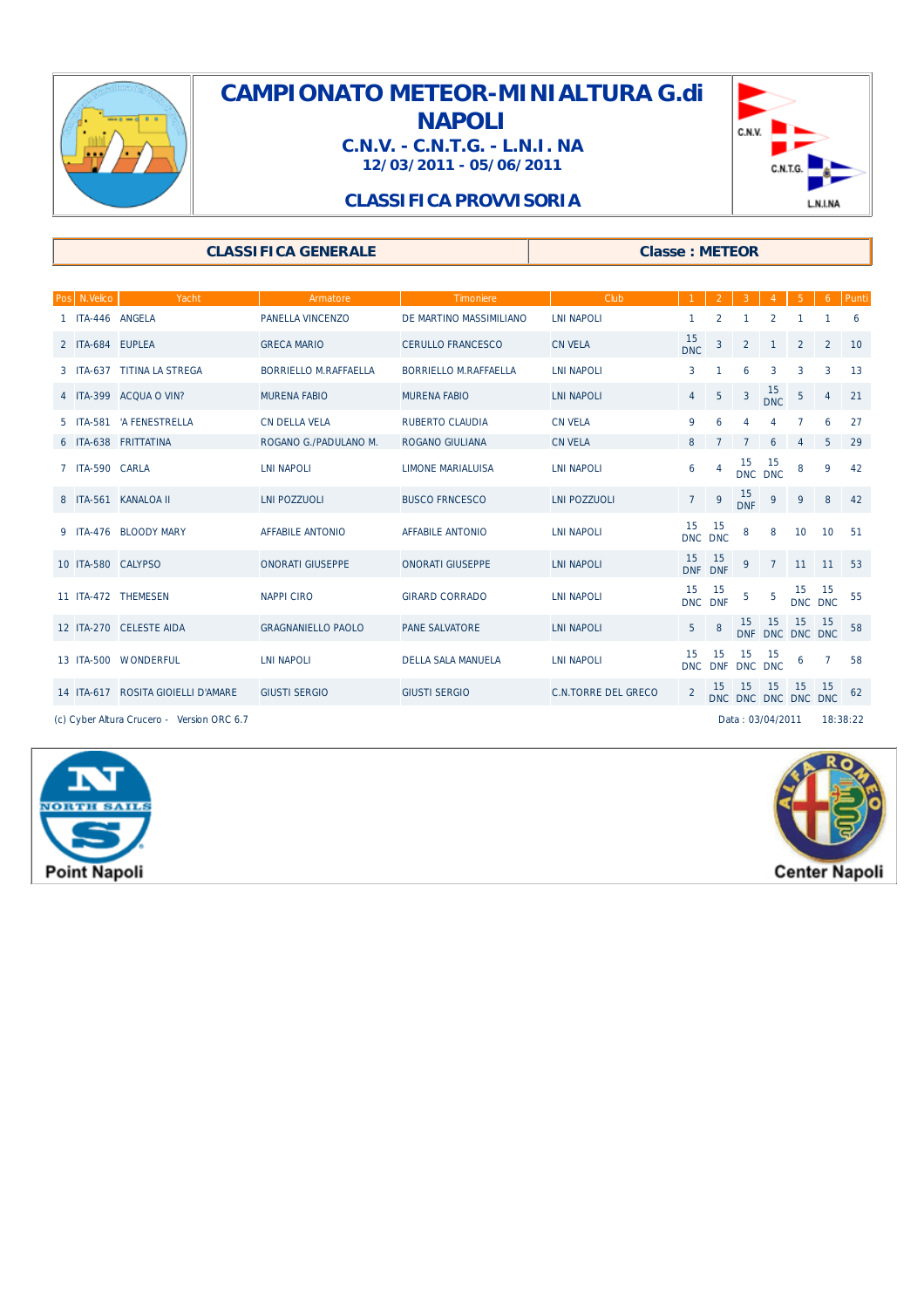

## **CAMPIONATO METEOR-MINIALTURA G.di NAPOLI C.N.V. - C.N.T.G. - L.N.I. NA**

**12/03/2011 - 05/06/2011**



## **CLASSIFICA PROVVISORIA**

### **CLASSIFICA GENERALE Classe : METEOR**

|                                                                | Pos N.Velico     | Yacht                              | Armatore                  | Timoniere                    | Club                       |                  |                  |                  |                           |                 | 6        | Punti |
|----------------------------------------------------------------|------------------|------------------------------------|---------------------------|------------------------------|----------------------------|------------------|------------------|------------------|---------------------------|-----------------|----------|-------|
|                                                                | ITA-446 ANGELA   |                                    | PANELLA VINCENZO          | DE MARTINO MASSIMILIANO      | <b>LNI NAPOLI</b>          |                  | 2                |                  | 2                         |                 |          | 6     |
|                                                                | 2 ITA-684 EUPLEA |                                    | <b>GRECA MARIO</b>        | <b>CERULLO FRANCESCO</b>     | <b>CN VELA</b>             | 15<br><b>DNC</b> | $\mathbf{3}$     | $\overline{2}$   | $\mathbf{1}$              | $\overline{2}$  | 2        | 10    |
|                                                                |                  | 3 ITA-637 TITINA LA STREGA         | BORRIELLO M.RAFFAELLA     | <b>BORRIELLO M.RAFFAELLA</b> | <b>LNI NAPOLI</b>          | 3                | 1                | 6                | 3                         | 3               | 3        | 13    |
|                                                                |                  | 4 ITA-399 ACQUA O VIN?             | <b>MURENA FABIO</b>       | <b>MURENA FABIO</b>          | <b>LNI NAPOLI</b>          | 4                | 5                | $\overline{3}$   | $15$<br>DNC               | $5\phantom{.0}$ | 4        | 21    |
|                                                                |                  | 5 ITA-581 'A FENESTRELLA           | <b>CN DELLA VELA</b>      | RUBERTO CLAUDIA              | <b>CN VELA</b>             | 9                | 6                | 4                | 4                         | 7               | 6        | 27    |
|                                                                |                  | 6 ITA-638 FRITTATINA               | ROGANO G./PADULANO M.     | <b>ROGANO GIULIANA</b>       | <b>CN VELA</b>             | 8                | $\overline{7}$   | $\overline{7}$   | 6                         | 4               | 5        | 29    |
|                                                                | ITA-590 CARLA    |                                    | <b>LNI NAPOLI</b>         | <b>LIMONE MARIALUISA</b>     | <b>LNI NAPOLI</b>          | 6                | 4                | 15               | 15<br>DNC DNC             | 8               | 9        | 42    |
|                                                                |                  | 8 ITA-561 KANALOA II               | <b>LNI POZZUOLI</b>       | <b>BUSCO FRNCESCO</b>        | <b>LNI POZZUOLI</b>        | $\overline{7}$   | 9                | 15<br><b>DNF</b> | 9                         | 9               | 8        | 42    |
|                                                                |                  | 9 ITA-476 BLOODY MARY              | <b>AFFABILE ANTONIO</b>   | <b>AFFABILE ANTONIO</b>      | <b>LNI NAPOLI</b>          | 15<br>DNC DNC    | 15               | 8                | 8                         | 10              | 10       | 51    |
|                                                                |                  | 10 ITA-580 CALYPSO                 | <b>ONORATI GIUSEPPE</b>   | <b>ONORATI GIUSEPPE</b>      | <b>LNI NAPOLI</b>          | 15<br>DNF DNF    | 15               | 9                | $\overline{7}$            | 11 11           |          | 53    |
|                                                                |                  | 11 ITA-472 THEMESEN                | <b>NAPPICIRO</b>          | <b>GIRARD CORRADO</b>        | <b>LNI NAPOLI</b>          | 15<br><b>DNC</b> | 15<br><b>DNF</b> | 5                | 5                         | 15<br>DNC DNC   | 15       | 55    |
|                                                                |                  | 12 ITA-270 CELESTE AIDA            | <b>GRAGNANIELLO PAOLO</b> | <b>PANE SALVATORE</b>        | <b>LNI NAPOLI</b>          | 5                | 8                | 15               | -15<br>DNF DNC DNC DNC    | 15              | 15       | 58    |
|                                                                |                  | 13 ITA-500 WONDERFUL               | <b>LNI NAPOLI</b>         | <b>DELLA SALA MANUELA</b>    | <b>LNI NAPOLI</b>          | 15<br><b>DNC</b> | 15<br><b>DNF</b> | 15<br>DNC DNC    | -15                       | 6               | 7        | 58    |
|                                                                |                  | 14 ITA-617 ROSITA GIOIELLI D'AMARE | <b>GIUSTI SERGIO</b>      | <b>GIUSTI SERGIO</b>         | <b>C.N.TORRE DEL GRECO</b> | $\overline{2}$   | 15               | 15               | 15<br>DNC DNC DNC DNC DNC | 15              | -15      | 62    |
| (c) Cyber Altura Crucero - Version ORC 6.7<br>Data: 03/04/2011 |                  |                                    |                           |                              |                            |                  |                  |                  |                           |                 | 18:38:22 |       |